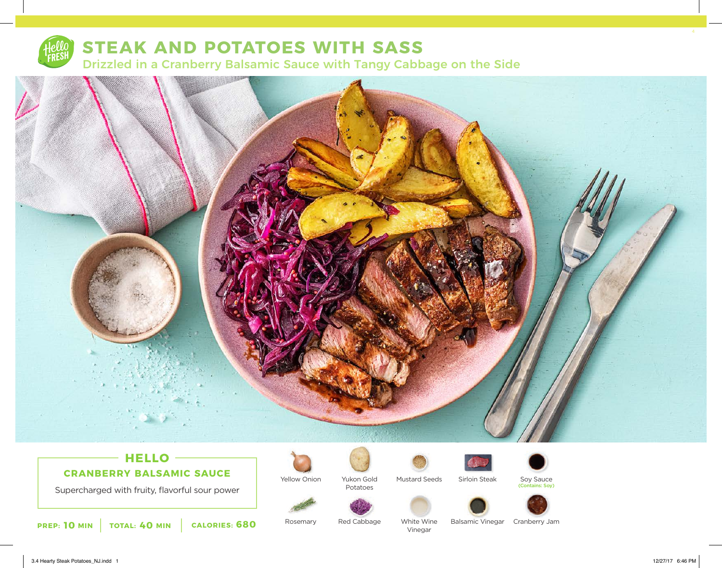

## **STEAK AND POTATOES WITH SASS**

Drizzled in a Cranberry Balsamic Sauce with Tangy Cabbage on the Side



## **HELLO CRANBERRY BALSAMIC SAUCE**

Supercharged with fruity, flavorful sour power



Yellow Onion



Potatoes



Sirloin Steak



Soy Sauce (Contains: Soy)









Rosemary Red Cabbage

White Wine Vinegar

Balsamic Vinegar Cranberry Jam